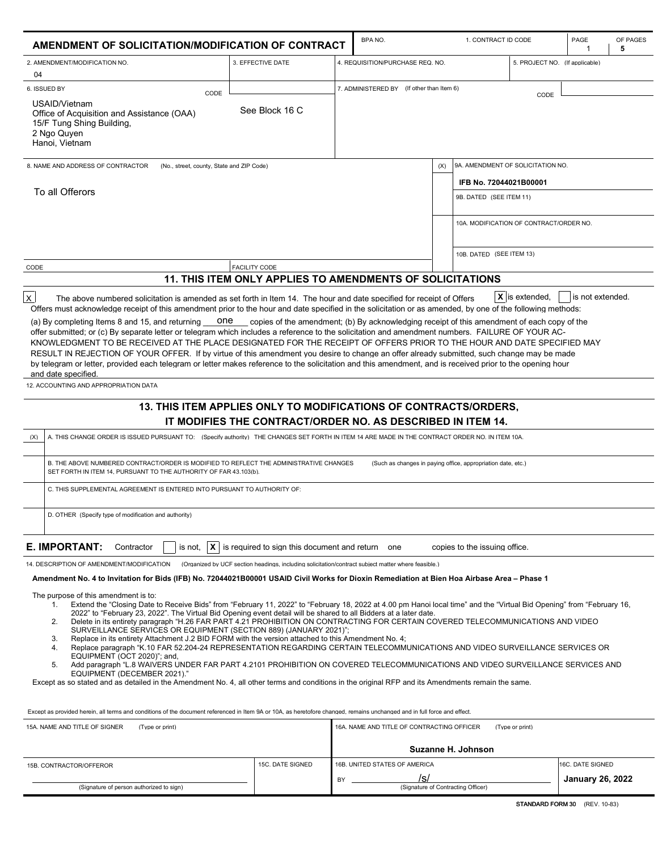| AMENDMENT OF SOLICITATION/MODIFICATION OF CONTRACT                                                                                                                                                                                                                                                                                                                                                                                                                                                                                                                                                                                                                                                                                                                                                                                                                                                                                                                                                                                                                                                                                                                                                                                                                                                                                                 |                                                                                                                                                                 |                                                                   | <b>BPANO</b>                                                 |     | 1. CONTRACT ID CODE                                                                                                               |                 | PAGE                    | OF PAGES<br>5 |
|----------------------------------------------------------------------------------------------------------------------------------------------------------------------------------------------------------------------------------------------------------------------------------------------------------------------------------------------------------------------------------------------------------------------------------------------------------------------------------------------------------------------------------------------------------------------------------------------------------------------------------------------------------------------------------------------------------------------------------------------------------------------------------------------------------------------------------------------------------------------------------------------------------------------------------------------------------------------------------------------------------------------------------------------------------------------------------------------------------------------------------------------------------------------------------------------------------------------------------------------------------------------------------------------------------------------------------------------------|-----------------------------------------------------------------------------------------------------------------------------------------------------------------|-------------------------------------------------------------------|--------------------------------------------------------------|-----|-----------------------------------------------------------------------------------------------------------------------------------|-----------------|-------------------------|---------------|
| 2. AMENDMENT/MODIFICATION NO.                                                                                                                                                                                                                                                                                                                                                                                                                                                                                                                                                                                                                                                                                                                                                                                                                                                                                                                                                                                                                                                                                                                                                                                                                                                                                                                      | 3. EFFECTIVE DATE                                                                                                                                               | 4. REQUISITION/PURCHASE REQ. NO<br>5. PROJECT NO. (If applicable) |                                                              |     |                                                                                                                                   |                 |                         |               |
| 04<br>6. ISSUED BY<br>CODE<br>USAID/Vietnam<br>Office of Acquisition and Assistance (OAA)<br>15/F Tung Shing Building,<br>2 Ngo Quyen<br>Hanoi, Vietnam                                                                                                                                                                                                                                                                                                                                                                                                                                                                                                                                                                                                                                                                                                                                                                                                                                                                                                                                                                                                                                                                                                                                                                                            | See Block 16 C                                                                                                                                                  |                                                                   | 7. ADMINISTERED BY (If other than Item 6)                    |     |                                                                                                                                   | CODE            |                         |               |
| 8. NAME AND ADDRESS OF CONTRACTOR<br>(No., street, county, State and ZIP Code)<br>To all Offerors                                                                                                                                                                                                                                                                                                                                                                                                                                                                                                                                                                                                                                                                                                                                                                                                                                                                                                                                                                                                                                                                                                                                                                                                                                                  |                                                                                                                                                                 |                                                                   |                                                              | (X) | 9A. AMENDMENT OF SOLICITATION NO.<br>IFB No. 72044021B00001<br>9B. DATED (SEE ITEM 11)<br>10A. MODIFICATION OF CONTRACT/ORDER NO. |                 |                         |               |
| CODE                                                                                                                                                                                                                                                                                                                                                                                                                                                                                                                                                                                                                                                                                                                                                                                                                                                                                                                                                                                                                                                                                                                                                                                                                                                                                                                                               | <b>FACILITY CODE</b>                                                                                                                                            |                                                                   |                                                              |     | 10B. DATED (SEE ITEM 13)                                                                                                          |                 |                         |               |
|                                                                                                                                                                                                                                                                                                                                                                                                                                                                                                                                                                                                                                                                                                                                                                                                                                                                                                                                                                                                                                                                                                                                                                                                                                                                                                                                                    | <b>11. THIS ITEM ONLY APPLIES TO AMENDMENTS OF SOLICITATIONS</b>                                                                                                |                                                                   |                                                              |     |                                                                                                                                   |                 |                         |               |
| (a) By completing Items 8 and 15, and returning<br>one<br>offer submitted; or (c) By separate letter or telegram which includes a reference to the solicitation and amendment numbers. FAILURE OF YOUR AC-<br>KNOWLEDGMENT TO BE RECEIVED AT THE PLACE DESIGNATED FOR THE RECEIPT OF OFFERS PRIOR TO THE HOUR AND DATE SPECIFIED MAY<br>RESULT IN REJECTION OF YOUR OFFER. If by virtue of this amendment you desire to change an offer already submitted, such change may be made<br>by telegram or letter, provided each telegram or letter makes reference to the solicitation and this amendment, and is received prior to the opening hour<br>and date specified.<br>12. ACCOUNTING AND APPROPRIATION DATA                                                                                                                                                                                                                                                                                                                                                                                                                                                                                                                                                                                                                                    | copies of the amendment; (b) By acknowledging receipt of this amendment of each copy of the<br>13. THIS ITEM APPLIES ONLY TO MODIFICATIONS OF CONTRACTS/ORDERS. |                                                                   |                                                              |     |                                                                                                                                   |                 |                         |               |
|                                                                                                                                                                                                                                                                                                                                                                                                                                                                                                                                                                                                                                                                                                                                                                                                                                                                                                                                                                                                                                                                                                                                                                                                                                                                                                                                                    | IT MODIFIES THE CONTRACT/ORDER NO. AS DESCRIBED IN ITEM 14.                                                                                                     |                                                                   |                                                              |     |                                                                                                                                   |                 |                         |               |
| (X)<br>A. THIS CHANGE ORDER IS ISSUED PURSUANT TO: (Specify authority) THE CHANGES SET FORTH IN ITEM 14 ARE MADE IN THE CONTRACT ORDER NO. IN ITEM 10A.                                                                                                                                                                                                                                                                                                                                                                                                                                                                                                                                                                                                                                                                                                                                                                                                                                                                                                                                                                                                                                                                                                                                                                                            |                                                                                                                                                                 |                                                                   |                                                              |     |                                                                                                                                   |                 |                         |               |
| B. THE ABOVE NUMBERED CONTRACT/ORDER IS MODIFIED TO REFLECT THE ADMINISTRATIVE CHANGES<br>SET FORTH IN ITEM 14, PURSUANT TO THE AUTHORITY OF FAR 43,103(b).                                                                                                                                                                                                                                                                                                                                                                                                                                                                                                                                                                                                                                                                                                                                                                                                                                                                                                                                                                                                                                                                                                                                                                                        |                                                                                                                                                                 |                                                                   | (Such as changes in paving office, appropriation date, etc.) |     |                                                                                                                                   |                 |                         |               |
| C. THIS SUPPLEMENTAL AGREEMENT IS ENTERED INTO PURSUANT TO AUTHORITY OF:                                                                                                                                                                                                                                                                                                                                                                                                                                                                                                                                                                                                                                                                                                                                                                                                                                                                                                                                                                                                                                                                                                                                                                                                                                                                           |                                                                                                                                                                 |                                                                   |                                                              |     |                                                                                                                                   |                 |                         |               |
| D. OTHER (Specify type of modification and authority)                                                                                                                                                                                                                                                                                                                                                                                                                                                                                                                                                                                                                                                                                                                                                                                                                                                                                                                                                                                                                                                                                                                                                                                                                                                                                              |                                                                                                                                                                 |                                                                   |                                                              |     |                                                                                                                                   |                 |                         |               |
| E. IMPORTANT:<br>Contractor                                                                                                                                                                                                                                                                                                                                                                                                                                                                                                                                                                                                                                                                                                                                                                                                                                                                                                                                                                                                                                                                                                                                                                                                                                                                                                                        | is not, $\ \mathbf{X}\ $ is required to sign this document and return one                                                                                       |                                                                   |                                                              |     | copies to the issuing office.                                                                                                     |                 |                         |               |
| 14. DESCRIPTION OF AMENDMENT/MODIFICATION<br>Amendment No. 4 to Invitation for Bids (IFB) No. 72044021B00001 USAID Civil Works for Dioxin Remediation at Bien Hoa Airbase Area - Phase 1                                                                                                                                                                                                                                                                                                                                                                                                                                                                                                                                                                                                                                                                                                                                                                                                                                                                                                                                                                                                                                                                                                                                                           | (Organized by UCF section headings, including solicitation/contract subject matter where feasible.)                                                             |                                                                   |                                                              |     |                                                                                                                                   |                 |                         |               |
| The purpose of this amendment is to:<br>Extend the "Closing Date to Receive Bids" from "February 11, 2022" to "February 18, 2022 at 4.00 pm Hanoi local time" and the "Virtual Bid Opening" from "February 16,<br>1.<br>2022" to "February 23, 2022". The Virtual Bid Opening event detail will be shared to all Bidders at a later date.<br>Delete in its entirety paragraph "H.26 FAR PART 4.21 PROHIBITION ON CONTRACTING FOR CERTAIN COVERED TELECOMMUNICATIONS AND VIDEO<br>2.<br>SURVEILLANCE SERVICES OR EQUIPMENT (SECTION 889) (JANUARY 2021)";<br>3.<br>Replace in its entirety Attachment J.2 BID FORM with the version attached to this Amendment No. 4;<br>Replace paragraph "K.10 FAR 52.204-24 REPRESENTATION REGARDING CERTAIN TELECOMMUNICATIONS AND VIDEO SURVEILLANCE SERVICES OR<br>4.<br>EQUIPMENT (OCT 2020)"; and,<br>Add paragraph "L.8 WAIVERS UNDER FAR PART 4.2101 PROHIBITION ON COVERED TELECOMMUNICATIONS AND VIDEO SURVEILLANCE SERVICES AND<br>5.<br>EQUIPMENT (DECEMBER 2021)."<br>Except as so stated and as detailed in the Amendment No. 4, all other terms and conditions in the original RFP and its Amendments remain the same.<br>Except as provided herein, all terms and conditions of the document referenced in Item 9A or 10A, as heretofore changed, remains unchanged and in full force and effect. |                                                                                                                                                                 |                                                                   |                                                              |     |                                                                                                                                   |                 |                         |               |
| 15A. NAME AND TITLE OF SIGNER<br>(Type or print)                                                                                                                                                                                                                                                                                                                                                                                                                                                                                                                                                                                                                                                                                                                                                                                                                                                                                                                                                                                                                                                                                                                                                                                                                                                                                                   |                                                                                                                                                                 |                                                                   | 16A. NAME AND TITLE OF CONTRACTING OFFICER                   |     |                                                                                                                                   | (Type or print) |                         |               |
|                                                                                                                                                                                                                                                                                                                                                                                                                                                                                                                                                                                                                                                                                                                                                                                                                                                                                                                                                                                                                                                                                                                                                                                                                                                                                                                                                    |                                                                                                                                                                 |                                                                   |                                                              |     | Suzanne H. Johnson                                                                                                                |                 |                         |               |
| 15B. CONTRACTOR/OFFEROR                                                                                                                                                                                                                                                                                                                                                                                                                                                                                                                                                                                                                                                                                                                                                                                                                                                                                                                                                                                                                                                                                                                                                                                                                                                                                                                            | 15C. DATE SIGNED                                                                                                                                                |                                                                   | 16B. UNITED STATES OF AMERICA                                |     |                                                                                                                                   |                 | 16C. DATE SIGNED        |               |
| (Signature of person authorized to sign)                                                                                                                                                                                                                                                                                                                                                                                                                                                                                                                                                                                                                                                                                                                                                                                                                                                                                                                                                                                                                                                                                                                                                                                                                                                                                                           |                                                                                                                                                                 | BY                                                                | /s/                                                          |     | (Signature of Contracting Officer)                                                                                                |                 | <b>January 26, 2022</b> |               |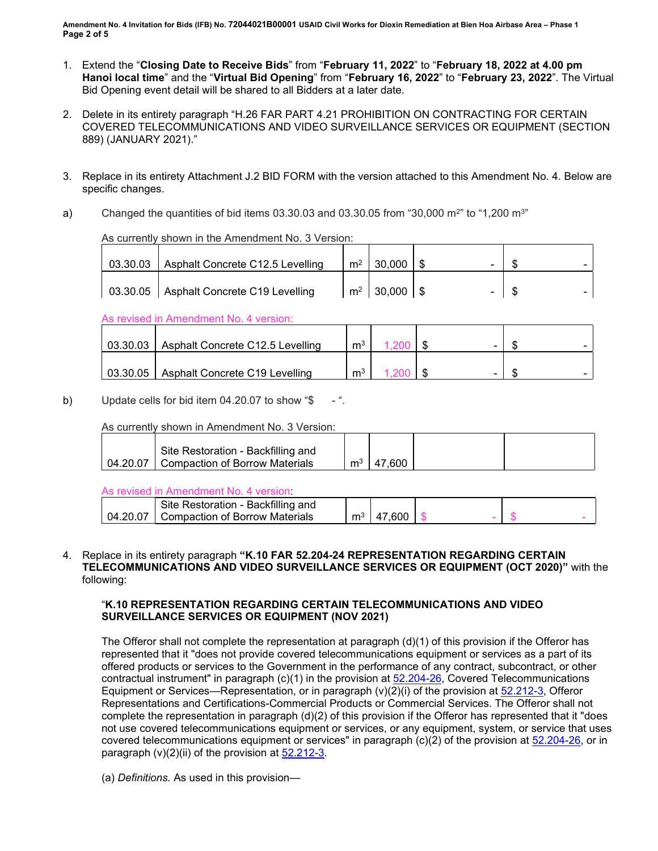**Amendment No. 4 Invitation for Bids (IFB) No. 72044021B00001 USAID Civil Works for Dioxin Remediation at Bien Hoa Airbase Area – Phase 1 Page 2 of 5**

- 1. Extend the "**Closing Date to Receive Bids**" from "**February 11, 2022**" to "**February 18, 2022 at 4.00 pm Hanoi local time**" and the "**Virtual Bid Opening**" from "**February 16, 2022**" to "**February 23, 2022**". The Virtual Bid Opening event detail will be shared to all Bidders at a later date.
- 2. Delete in its entirety paragraph "H.26 FAR PART 4.21 PROHIBITION ON CONTRACTING FOR CERTAIN COVERED TELECOMMUNICATIONS AND VIDEO SURVEILLANCE SERVICES OR EQUIPMENT (SECTION 889) (JANUARY 2021)."
- 3. Replace in its entirety Attachment J.2 BID FORM with the version attached to this Amendment No. 4. Below are specific changes.
- a) Changed the quantities of bid items  $03.30.03$  and  $03.30.05$  from "30,000 m<sup>2"</sup> to "1,200 m<sup>3"</sup>

As currently shown in the Amendment No. 3 Version:

| 03.30.03 | Asphalt Concrete C12.5 Levelling | m <sup>2</sup> | 30,000      | - |  |
|----------|----------------------------------|----------------|-------------|---|--|
| 03.30.05 | Asphalt Concrete C19 Levelling   | m <sup>2</sup> | $30,000$ \$ | - |  |

As revised in Amendment No. 4 version:

| 03.30.03 | Asphalt Concrete C12.5 Levelling | m <sup>3</sup> |  |  |
|----------|----------------------------------|----------------|--|--|
| 03.30.05 | Asphalt Concrete C19 Levelling   | m <sup>3</sup> |  |  |

b) Update cells for bid item  $04.20.07$  to show "\$

As currently shown in Amendment No. 3 Version:

| Site Restoration - Backfilling and        |   |        |  |
|-------------------------------------------|---|--------|--|
| 04.20.07   Compaction of Borrow Materials | m | 47.600 |  |

As revised in Amendment No. 4 version:

|    | Restoration - Backfilling and   |   |  |  |  |
|----|---------------------------------|---|--|--|--|
| ٦4 | compaction of Borrow Materials. | m |  |  |  |

4. Replace in its entirety paragraph **"K.10 FAR 52.204-24 REPRESENTATION REGARDING CERTAIN TELECOMMUNICATIONS AND VIDEO SURVEILLANCE SERVICES OR EQUIPMENT (OCT 2020)"** with the following:

### "**K.10 REPRESENTATION REGARDING CERTAIN TELECOMMUNICATIONS AND VIDEO SURVEILLANCE SERVICES OR EQUIPMENT (NOV 2021)**

The Offeror shall not complete the representation at paragraph (d)(1) of this provision if the Offeror has represented that it "does not provide covered telecommunications equipment or services as a part of its offered products or services to the Government in the performance of any contract, subcontract, or other contractual instrument" in paragraph (c)(1) in the provision at [52.204-26,](https://www.acquisition.gov/far/52.204-26#FAR_52_204_26) Covered Telecommunications Equipment or Services—Representation, or in paragraph (v)(2)(i) of the provision at [52.212-3,](https://www.acquisition.gov/far/52.212-3#FAR_52_212_3) Offeror Representations and Certifications-Commercial Products or Commercial Services. The Offeror shall not complete the representation in paragraph (d)(2) of this provision if the Offeror has represented that it "does not use covered telecommunications equipment or services, or any equipment, system, or service that uses covered telecommunications equipment or services" in paragraph (c)(2) of the provision at [52.204-26,](https://www.acquisition.gov/far/52.204-26#FAR_52_204_26) or in paragraph  $(v)(2)(ii)$  of the provision at  $52.212-3$ .

(a) *Definitions.* As used in this provision—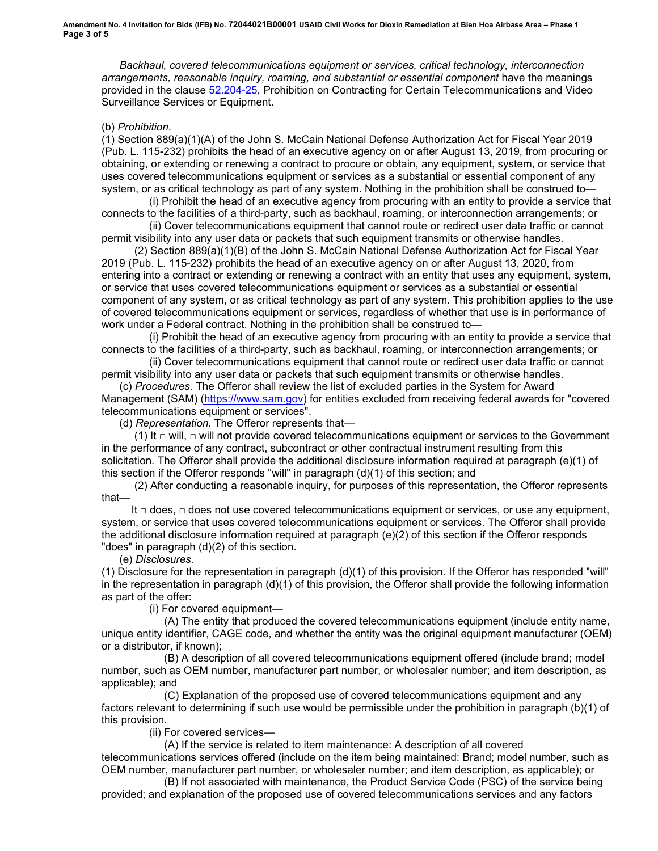*Backhaul, covered telecommunications equipment or services, critical technology, interconnection arrangements, reasonable inquiry, roaming, and substantial or essential component* have the meanings provided in the clause [52.204-25,](https://www.acquisition.gov/far/52.204-25#FAR_52_204_25) Prohibition on Contracting for Certain Telecommunications and Video Surveillance Services or Equipment.

#### (b) *Prohibition*.

(1) Section 889(a)(1)(A) of the John S. McCain National Defense Authorization Act for Fiscal Year 2019 (Pub. L. 115-232) prohibits the head of an executive agency on or after August 13, 2019, from procuring or obtaining, or extending or renewing a contract to procure or obtain, any equipment, system, or service that uses covered telecommunications equipment or services as a substantial or essential component of any system, or as critical technology as part of any system. Nothing in the prohibition shall be construed to—

 (i) Prohibit the head of an executive agency from procuring with an entity to provide a service that connects to the facilities of a third-party, such as backhaul, roaming, or interconnection arrangements; or

 (ii) Cover telecommunications equipment that cannot route or redirect user data traffic or cannot permit visibility into any user data or packets that such equipment transmits or otherwise handles.

 (2) Section 889(a)(1)(B) of the John S. McCain National Defense Authorization Act for Fiscal Year 2019 (Pub. L. 115-232) prohibits the head of an executive agency on or after August 13, 2020, from entering into a contract or extending or renewing a contract with an entity that uses any equipment, system, or service that uses covered telecommunications equipment or services as a substantial or essential component of any system, or as critical technology as part of any system. This prohibition applies to the use of covered telecommunications equipment or services, regardless of whether that use is in performance of work under a Federal contract. Nothing in the prohibition shall be construed to—

 (i) Prohibit the head of an executive agency from procuring with an entity to provide a service that connects to the facilities of a third-party, such as backhaul, roaming, or interconnection arrangements; or

 (ii) Cover telecommunications equipment that cannot route or redirect user data traffic or cannot permit visibility into any user data or packets that such equipment transmits or otherwise handles.

 (c) *Procedures.* The Offeror shall review the list of excluded parties in the System for Award Management (SAM) [\(https://www.sam.gov\)](https://www.sam.gov/) for entities excluded from receiving federal awards for "covered telecommunications equipment or services".

(d) *Representation.* The Offeror represents that—

 (1) It *□* will, *□* will not provide covered telecommunications equipment or services to the Government in the performance of any contract, subcontract or other contractual instrument resulting from this solicitation. The Offeror shall provide the additional disclosure information required at paragraph (e)(1) of this section if the Offeror responds "will" in paragraph (d)(1) of this section; and

 (2) After conducting a reasonable inquiry, for purposes of this representation, the Offeror represents that—

 It *□* does, *□* does not use covered telecommunications equipment or services, or use any equipment, system, or service that uses covered telecommunications equipment or services. The Offeror shall provide the additional disclosure information required at paragraph (e)(2) of this section if the Offeror responds "does" in paragraph (d)(2) of this section.

(e) *Disclosures.*

(1) Disclosure for the representation in paragraph (d)(1) of this provision. If the Offeror has responded "will" in the representation in paragraph (d)(1) of this provision, the Offeror shall provide the following information as part of the offer:

(i) For covered equipment—

 (A) The entity that produced the covered telecommunications equipment (include entity name, unique entity identifier, CAGE code, and whether the entity was the original equipment manufacturer (OEM) or a distributor, if known);

 (B) A description of all covered telecommunications equipment offered (include brand; model number, such as OEM number, manufacturer part number, or wholesaler number; and item description, as applicable); and

 (C) Explanation of the proposed use of covered telecommunications equipment and any factors relevant to determining if such use would be permissible under the prohibition in paragraph (b)(1) of this provision.

(ii) For covered services—

 (A) If the service is related to item maintenance: A description of all covered telecommunications services offered (include on the item being maintained: Brand; model number, such as OEM number, manufacturer part number, or wholesaler number; and item description, as applicable); or

 (B) If not associated with maintenance, the Product Service Code (PSC) of the service being provided; and explanation of the proposed use of covered telecommunications services and any factors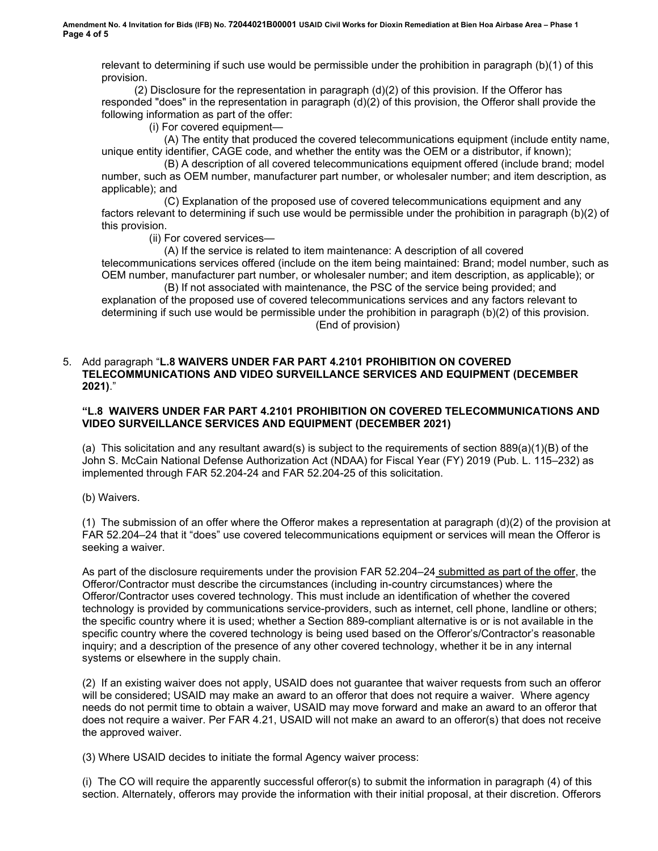relevant to determining if such use would be permissible under the prohibition in paragraph (b)(1) of this provision.

 (2) Disclosure for the representation in paragraph (d)(2) of this provision. If the Offeror has responded "does" in the representation in paragraph (d)(2) of this provision, the Offeror shall provide the following information as part of the offer:

(i) For covered equipment—

 (A) The entity that produced the covered telecommunications equipment (include entity name, unique entity identifier, CAGE code, and whether the entity was the OEM or a distributor, if known);

 (B) A description of all covered telecommunications equipment offered (include brand; model number, such as OEM number, manufacturer part number, or wholesaler number; and item description, as applicable); and

 (C) Explanation of the proposed use of covered telecommunications equipment and any factors relevant to determining if such use would be permissible under the prohibition in paragraph (b)(2) of this provision.

(ii) For covered services—

 (A) If the service is related to item maintenance: A description of all covered telecommunications services offered (include on the item being maintained: Brand; model number, such as OEM number, manufacturer part number, or wholesaler number; and item description, as applicable); or

 (B) If not associated with maintenance, the PSC of the service being provided; and explanation of the proposed use of covered telecommunications services and any factors relevant to determining if such use would be permissible under the prohibition in paragraph (b)(2) of this provision. (End of provision)

### 5. Add paragraph "**L.8 WAIVERS UNDER FAR PART 4.2101 PROHIBITION ON COVERED TELECOMMUNICATIONS AND VIDEO SURVEILLANCE SERVICES AND EQUIPMENT (DECEMBER 2021)**."

# **"L.8 WAIVERS UNDER FAR PART 4.2101 PROHIBITION ON COVERED TELECOMMUNICATIONS AND VIDEO SURVEILLANCE SERVICES AND EQUIPMENT (DECEMBER 2021)**

(a) This solicitation and any resultant award(s) is subject to the requirements of section 889(a)(1)(B) of the John S. McCain National Defense Authorization Act (NDAA) for Fiscal Year (FY) 2019 (Pub. L. 115–232) as implemented through FAR 52.204-24 and FAR 52.204-25 of this solicitation.

(b) Waivers.

(1) The submission of an offer where the Offeror makes a representation at paragraph (d)(2) of the provision at FAR 52.204–24 that it "does" use covered telecommunications equipment or services will mean the Offeror is seeking a waiver.

As part of the disclosure requirements under the provision FAR 52.204–24 submitted as part of the offer, the Offeror/Contractor must describe the circumstances (including in-country circumstances) where the Offeror/Contractor uses covered technology. This must include an identification of whether the covered technology is provided by communications service-providers, such as internet, cell phone, landline or others; the specific country where it is used; whether a Section 889-compliant alternative is or is not available in the specific country where the covered technology is being used based on the Offeror's/Contractor's reasonable inquiry; and a description of the presence of any other covered technology, whether it be in any internal systems or elsewhere in the supply chain.

(2) If an existing waiver does not apply, USAID does not guarantee that waiver requests from such an offeror will be considered; USAID may make an award to an offeror that does not require a waiver. Where agency needs do not permit time to obtain a waiver, USAID may move forward and make an award to an offeror that does not require a waiver. Per FAR 4.21, USAID will not make an award to an offeror(s) that does not receive the approved waiver.

(3) Where USAID decides to initiate the formal Agency waiver process:

(i) The CO will require the apparently successful offeror(s) to submit the information in paragraph (4) of this section. Alternately, offerors may provide the information with their initial proposal, at their discretion. Offerors